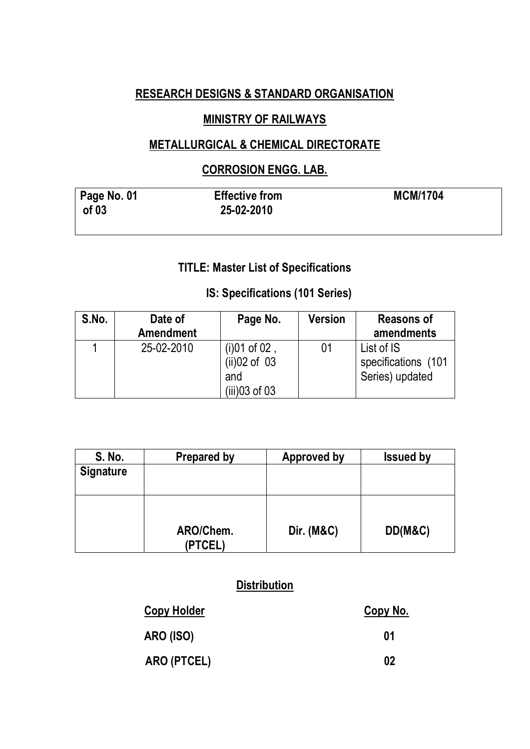## **RESEARCH DESIGNS & STANDARD ORGANISATION**

## **MINISTRY OF RAILWAYS**

## **METALLURGICAL & CHEMICAL DIRECTORATE**

#### **CORROSION ENGG. LAB.**

| <b>Page No. 01</b><br>of 03 | <b>Effective from</b><br>25-02-2010 | <b>MCM/1704</b> |
|-----------------------------|-------------------------------------|-----------------|
|                             |                                     |                 |

## **TITLE: Master List of Specifications**

## **IS: Specifications (101 Series)**

| S.No. | Date of<br><b>Amendment</b> | Page No.                                                    | <b>Version</b> | <b>Reasons of</b><br>amendments                      |
|-------|-----------------------------|-------------------------------------------------------------|----------------|------------------------------------------------------|
|       | 25-02-2010                  | $(i)01$ of 02,<br>$(ii)02$ of 03<br>and<br>$(iii)$ 03 of 03 | 01             | List of IS<br>specifications (101<br>Series) updated |

| S. No.           | <b>Prepared by</b> | <b>Approved by</b>    | <b>Issued by</b> |
|------------------|--------------------|-----------------------|------------------|
| <b>Signature</b> |                    |                       |                  |
|                  |                    |                       |                  |
|                  | ARO/Chem.<br>TCEL) | <b>Dir. (M&amp;C)</b> | DD(M&C)          |

## **Distribution**

| <b>Copy Holder</b> | <u>Copy No.</u> |
|--------------------|-----------------|
| <b>ARO (ISO)</b>   | 01              |
| ARO (PTCEL)        | 02              |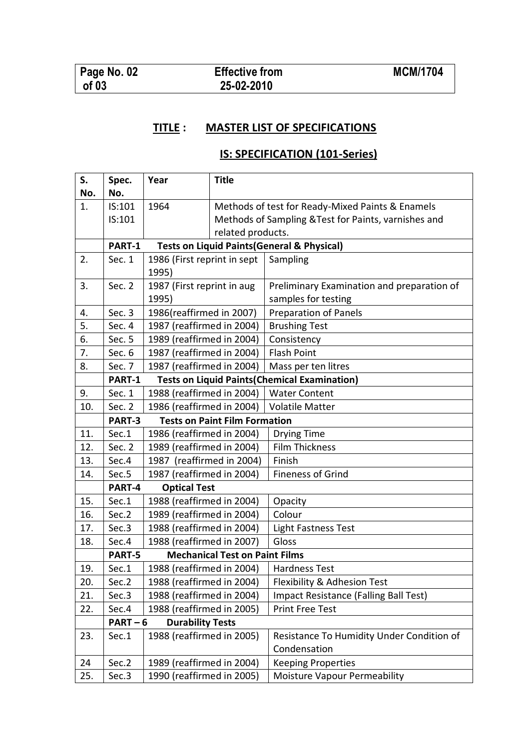## **TITLE : MASTER LIST OF SPECIFICATIONS**

## **IS: SPECIFICATION (101-Series)**

| S.  | Spec.                                          | Year                        | <b>Title</b>                                         |                                                        |
|-----|------------------------------------------------|-----------------------------|------------------------------------------------------|--------------------------------------------------------|
| No. | No.                                            |                             |                                                      |                                                        |
| 1.  | IS:101                                         | 1964                        | Methods of test for Ready-Mixed Paints & Enamels     |                                                        |
|     | IS:101                                         |                             | Methods of Sampling & Test for Paints, varnishes and |                                                        |
|     |                                                |                             | related products.                                    |                                                        |
|     | PART-1                                         |                             |                                                      | <b>Tests on Liquid Paints (General &amp; Physical)</b> |
| 2.  | Sec. 1                                         | 1986 (First reprint in sept |                                                      | Sampling                                               |
|     |                                                | 1995)                       |                                                      |                                                        |
| 3.  | Sec. 2                                         | 1987 (First reprint in aug  |                                                      | Preliminary Examination and preparation of             |
|     |                                                | 1995)                       |                                                      | samples for testing                                    |
| 4.  | Sec. 3                                         | 1986(reaffirmed in 2007)    |                                                      | <b>Preparation of Panels</b>                           |
| 5.  | Sec. 4                                         | 1987 (reaffirmed in 2004)   |                                                      | <b>Brushing Test</b>                                   |
| 6.  | Sec. 5                                         | 1989 (reaffirmed in 2004)   |                                                      | Consistency                                            |
| 7.  | Sec. 6                                         | 1987 (reaffirmed in 2004)   |                                                      | <b>Flash Point</b>                                     |
| 8.  | Sec. 7                                         | 1987 (reaffirmed in 2004)   |                                                      | Mass per ten litres                                    |
|     | PART-1                                         |                             |                                                      | <b>Tests on Liquid Paints (Chemical Examination)</b>   |
| 9.  | Sec. 1                                         | 1988 (reaffirmed in 2004)   |                                                      | <b>Water Content</b>                                   |
| 10. | Sec. 2                                         | 1986 (reaffirmed in 2004)   |                                                      | <b>Volatile Matter</b>                                 |
|     | <b>Tests on Paint Film Formation</b><br>PART-3 |                             |                                                      |                                                        |
| 11. | Sec.1                                          | 1986 (reaffirmed in 2004)   |                                                      | <b>Drying Time</b>                                     |
| 12. | Sec. 2                                         | 1989 (reaffirmed in 2004)   |                                                      | Film Thickness                                         |
| 13. | Sec.4                                          | 1987 (reaffirmed in 2004)   |                                                      | Finish                                                 |
| 14. | Sec.5                                          | 1987 (reaffirmed in 2004)   |                                                      | <b>Fineness of Grind</b>                               |
|     | PART-4                                         | <b>Optical Test</b>         |                                                      |                                                        |
| 15. | Sec.1                                          | 1988 (reaffirmed in 2004)   |                                                      | Opacity                                                |
| 16. | Sec.2                                          | 1989 (reaffirmed in 2004)   |                                                      | Colour                                                 |
| 17. | Sec.3                                          | 1988 (reaffirmed in 2004)   |                                                      | Light Fastness Test                                    |
| 18. | Sec.4                                          | 1988 (reaffirmed in 2007)   |                                                      | Gloss                                                  |
|     | PART-5                                         |                             | <b>Mechanical Test on Paint Films</b>                |                                                        |
| 19. | Sec.1                                          | 1988 (reaffirmed in 2004)   |                                                      | <b>Hardness Test</b>                                   |
| 20. | Sec.2                                          | 1988 (reaffirmed in 2004)   |                                                      | Flexibility & Adhesion Test                            |
| 21. | Sec.3                                          | 1988 (reaffirmed in 2004)   |                                                      | Impact Resistance (Falling Ball Test)                  |
| 22. | Sec.4                                          | 1988 (reaffirmed in 2005)   |                                                      | <b>Print Free Test</b>                                 |
|     | $PART-6$                                       | <b>Durability Tests</b>     |                                                      |                                                        |
| 23. | Sec.1                                          | 1988 (reaffirmed in 2005)   |                                                      | Resistance To Humidity Under Condition of              |
|     |                                                |                             |                                                      | Condensation                                           |
| 24  | Sec.2                                          | 1989 (reaffirmed in 2004)   |                                                      | <b>Keeping Properties</b>                              |
| 25. | Sec.3                                          | 1990 (reaffirmed in 2005)   |                                                      | Moisture Vapour Permeability                           |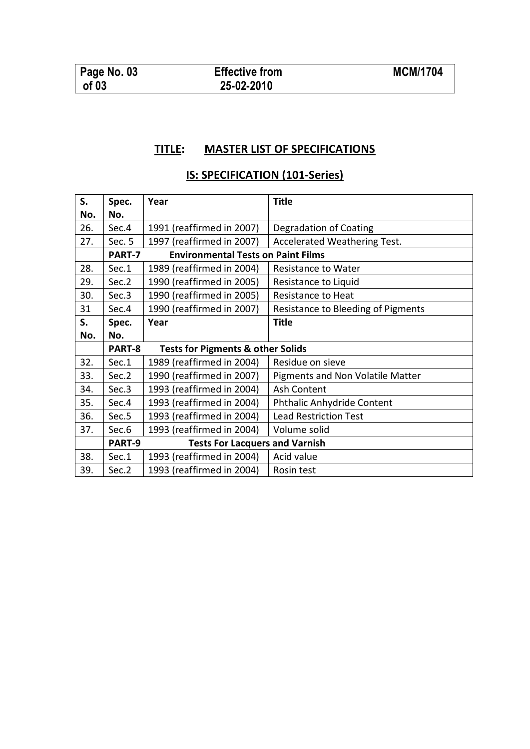#### **TITLE: MASTER LIST OF SPECIFICATIONS**

# **IS: SPECIFICATION (101-Series)**

| S.  | Spec.                                                  | Year                                      | <b>Title</b>                       |  |
|-----|--------------------------------------------------------|-------------------------------------------|------------------------------------|--|
| No. | No.                                                    |                                           |                                    |  |
| 26. | Sec.4                                                  | 1991 (reaffirmed in 2007)                 | Degradation of Coating             |  |
| 27. | Sec. 5                                                 | 1997 (reaffirmed in 2007)                 | Accelerated Weathering Test.       |  |
|     | PART-7                                                 | <b>Environmental Tests on Paint Films</b> |                                    |  |
| 28. | Sec.1                                                  | 1989 (reaffirmed in 2004)                 | Resistance to Water                |  |
| 29. | Sec.2                                                  | 1990 (reaffirmed in 2005)                 | Resistance to Liquid               |  |
| 30. | Sec.3                                                  | 1990 (reaffirmed in 2005)                 | Resistance to Heat                 |  |
| 31  | Sec.4                                                  | 1990 (reaffirmed in 2007)                 | Resistance to Bleeding of Pigments |  |
| S.  | Spec.                                                  | Year                                      | <b>Title</b>                       |  |
| No. | No.                                                    |                                           |                                    |  |
|     | PART-8<br><b>Tests for Pigments &amp; other Solids</b> |                                           |                                    |  |
| 32. | Sec.1                                                  | 1989 (reaffirmed in 2004)                 | Residue on sieve                   |  |
| 33. | Sec.2                                                  | 1990 (reaffirmed in 2007)                 | Pigments and Non Volatile Matter   |  |
| 34. | Sec.3                                                  | 1993 (reaffirmed in 2004)                 | Ash Content                        |  |
| 35. | Sec.4                                                  | 1993 (reaffirmed in 2004)                 | Phthalic Anhydride Content         |  |
| 36. | Sec.5                                                  | 1993 (reaffirmed in 2004)                 | <b>Lead Restriction Test</b>       |  |
| 37. | Sec.6                                                  | 1993 (reaffirmed in 2004)                 | Volume solid                       |  |
|     | PART-9                                                 | <b>Tests For Lacquers and Varnish</b>     |                                    |  |
| 38. | Sec.1                                                  | 1993 (reaffirmed in 2004)                 | Acid value                         |  |
| 39. | Sec.2                                                  | 1993 (reaffirmed in 2004)                 | Rosin test                         |  |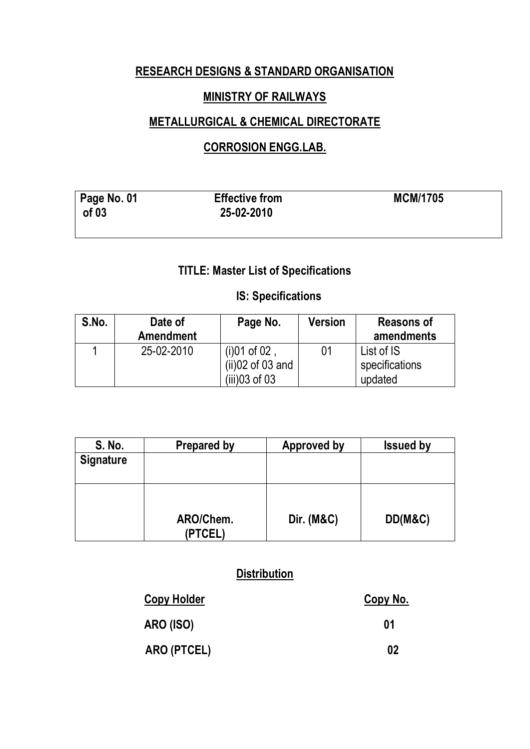## **RESEARCH DESIGNS & STANDARD ORGANISATION**

## **MINISTRY OF RAILWAYS**

## **METALLURGICAL & CHEMICAL DIRECTORATE**

## **CORROSION ENGG.LAB.**

| Page No. 01<br>of 03 | <b>Effective from</b><br>25-02-2010 | <b>MCM/1705</b> |
|----------------------|-------------------------------------|-----------------|
|                      |                                     |                 |

# **TITLE: Master List of Specifications**

#### **IS: Specifications**

| S.No. | Date of<br><b>Amendment</b> | Page No.                               | Version | <b>Reasons of</b><br>amendments |
|-------|-----------------------------|----------------------------------------|---------|---------------------------------|
|       | 25-02-2010                  | (i) $01$ of $02$<br>$(ii)02$ of 03 and | በ1      | List of IS<br>specifications    |
|       |                             | (iii)03 of 03                          |         | updated                         |

| S. No.           | <b>Prepared by</b>   | Approved by           | <b>Issued by</b> |
|------------------|----------------------|-----------------------|------------------|
| <b>Signature</b> |                      |                       |                  |
|                  | ARO/Chem.<br>(PTCEL) | <b>Dir. (M&amp;C)</b> | DD(M&C)          |

## **Distribution**

| <b>Copy Holder</b> | Copy No. |
|--------------------|----------|
| <b>ARO (ISO)</b>   | 01       |
| ARO (PTCEL)        | 02       |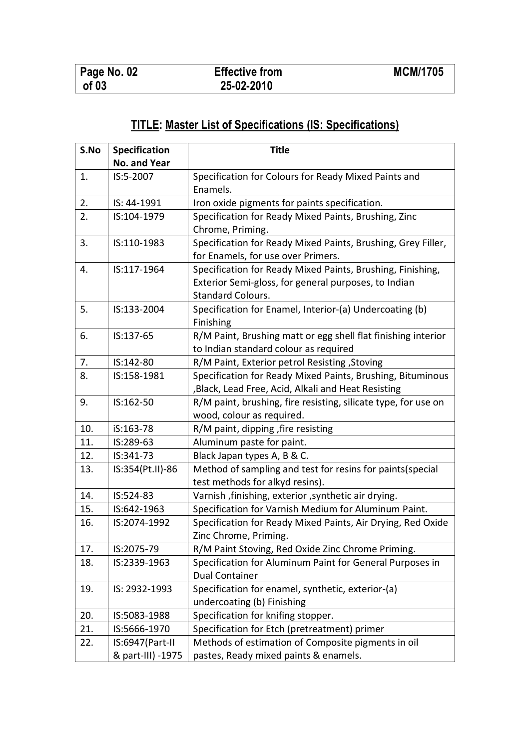# **TITLE: Master List of Specifications (IS: Specifications)**

| S.No | <b>Specification</b> | <b>Title</b>                                                   |  |  |
|------|----------------------|----------------------------------------------------------------|--|--|
|      | No. and Year         |                                                                |  |  |
| 1.   | IS:5-2007            | Specification for Colours for Ready Mixed Paints and           |  |  |
|      |                      | Enamels.                                                       |  |  |
| 2.   | IS: 44-1991          | Iron oxide pigments for paints specification.                  |  |  |
| 2.   | IS:104-1979          | Specification for Ready Mixed Paints, Brushing, Zinc           |  |  |
|      |                      | Chrome, Priming.                                               |  |  |
| 3.   | IS:110-1983          | Specification for Ready Mixed Paints, Brushing, Grey Filler,   |  |  |
|      |                      | for Enamels, for use over Primers.                             |  |  |
| 4.   | IS:117-1964          | Specification for Ready Mixed Paints, Brushing, Finishing,     |  |  |
|      |                      | Exterior Semi-gloss, for general purposes, to Indian           |  |  |
|      |                      | <b>Standard Colours.</b>                                       |  |  |
| 5.   | IS:133-2004          | Specification for Enamel, Interior-(a) Undercoating (b)        |  |  |
|      |                      | Finishing                                                      |  |  |
| 6.   | IS:137-65            | R/M Paint, Brushing matt or egg shell flat finishing interior  |  |  |
|      |                      | to Indian standard colour as required                          |  |  |
| 7.   | IS:142-80            | R/M Paint, Exterior petrol Resisting, Stoving                  |  |  |
| 8.   | IS:158-1981          | Specification for Ready Mixed Paints, Brushing, Bituminous     |  |  |
|      |                      | , Black, Lead Free, Acid, Alkali and Heat Resisting            |  |  |
| 9.   | IS:162-50            | R/M paint, brushing, fire resisting, silicate type, for use on |  |  |
|      |                      | wood, colour as required.                                      |  |  |
| 10.  | iS:163-78            | R/M paint, dipping, fire resisting                             |  |  |
| 11.  | IS:289-63            | Aluminum paste for paint.                                      |  |  |
| 12.  | IS:341-73            | Black Japan types A, B & C.                                    |  |  |
| 13.  | IS:354(Pt.II)-86     | Method of sampling and test for resins for paints (special     |  |  |
|      |                      | test methods for alkyd resins).                                |  |  |
| 14.  | IS:524-83            | Varnish, finishing, exterior, synthetic air drying.            |  |  |
| 15.  | IS:642-1963          | Specification for Varnish Medium for Aluminum Paint.           |  |  |
| 16.  | IS:2074-1992         | Specification for Ready Mixed Paints, Air Drying, Red Oxide    |  |  |
|      |                      | Zinc Chrome, Priming.                                          |  |  |
| 17.  | IS:2075-79           | R/M Paint Stoving, Red Oxide Zinc Chrome Priming.              |  |  |
| 18.  | IS:2339-1963         | Specification for Aluminum Paint for General Purposes in       |  |  |
|      |                      | <b>Dual Container</b>                                          |  |  |
| 19.  | IS: 2932-1993        | Specification for enamel, synthetic, exterior-(a)              |  |  |
|      |                      | undercoating (b) Finishing                                     |  |  |
| 20.  | IS:5083-1988         | Specification for knifing stopper.                             |  |  |
| 21.  | IS:5666-1970         | Specification for Etch (pretreatment) primer                   |  |  |
| 22.  | IS:6947(Part-II      | Methods of estimation of Composite pigments in oil             |  |  |
|      | & part-III) -1975    | pastes, Ready mixed paints & enamels.                          |  |  |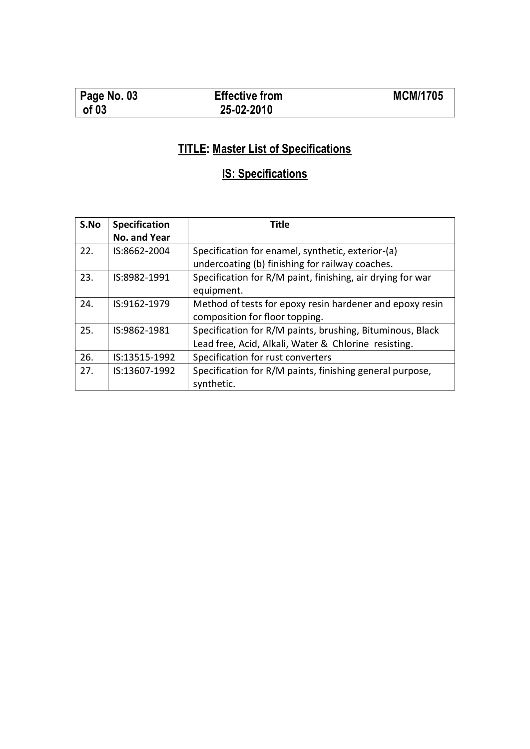| $\vert$ Page No. 03 | <b>Effective from</b> | <b>MCM/1705</b> |
|---------------------|-----------------------|-----------------|
| of 03               | 25-02-2010            |                 |

# **TITLE: Master List of Specifications**

# **IS: Specifications**

| S.No | <b>Specification</b> | <b>Title</b>                                               |
|------|----------------------|------------------------------------------------------------|
|      | No. and Year         |                                                            |
| 22.  | IS:8662-2004         | Specification for enamel, synthetic, exterior-(a)          |
|      |                      | undercoating (b) finishing for railway coaches.            |
| 23.  | IS:8982-1991         | Specification for R/M paint, finishing, air drying for war |
|      |                      | equipment.                                                 |
| 24.  | IS:9162-1979         | Method of tests for epoxy resin hardener and epoxy resin   |
|      |                      | composition for floor topping.                             |
| 25.  | IS:9862-1981         | Specification for R/M paints, brushing, Bituminous, Black  |
|      |                      | Lead free, Acid, Alkali, Water & Chlorine resisting.       |
| 26.  | IS:13515-1992        | Specification for rust converters                          |
| 27.  | IS:13607-1992        | Specification for R/M paints, finishing general purpose,   |
|      |                      | synthetic.                                                 |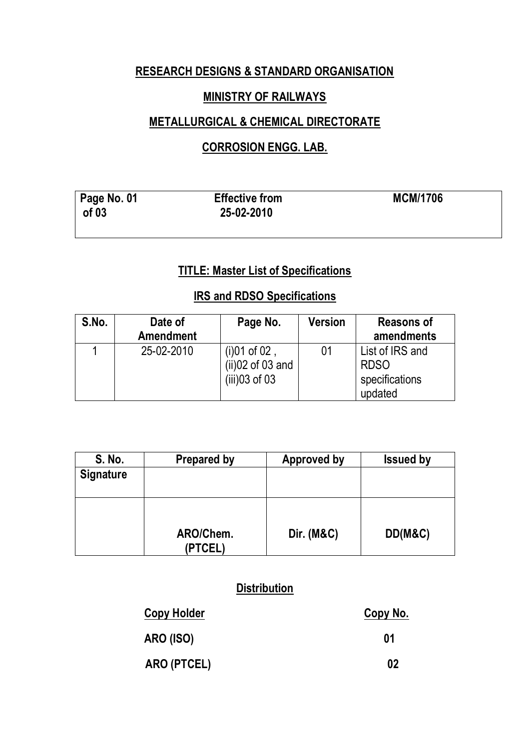## **RESEARCH DESIGNS & STANDARD ORGANISATION**

#### **MINISTRY OF RAILWAYS**

#### **METALLURGICAL & CHEMICAL DIRECTORATE**

## **CORROSION ENGG. LAB.**

| Page No. 01 | <b>Effective from</b> | <b>MCM/1706</b> |
|-------------|-----------------------|-----------------|
| of 03       | 25-02-2010            |                 |

## **TITLE: Master List of Specifications**

#### **IRS and RDSO Specifications**

| S.No. | Date of<br><b>Amendment</b> | Page No.                                                 | Version | <b>Reasons of</b><br>amendments                             |
|-------|-----------------------------|----------------------------------------------------------|---------|-------------------------------------------------------------|
|       | 25-02-2010                  | $(i)01$ of 02,<br>$(ii)02$ of 03 and<br>$(iii)$ 03 of 03 |         | List of IRS and<br><b>RDSO</b><br>specifications<br>updated |

| S. No.           | <b>Prepared by</b>   | <b>Approved by</b>    | <b>Issued by</b> |
|------------------|----------------------|-----------------------|------------------|
| <b>Signature</b> |                      |                       |                  |
|                  |                      |                       |                  |
|                  | ARO/Chem.<br>(PTCEL) | <b>Dir. (M&amp;C)</b> | DD(M&C)          |

#### **Distribution**

| <b>Copy Holder</b> | Copy No. |
|--------------------|----------|
| <b>ARO (ISO)</b>   | 01       |
| ARO (PTCEL)        | 02       |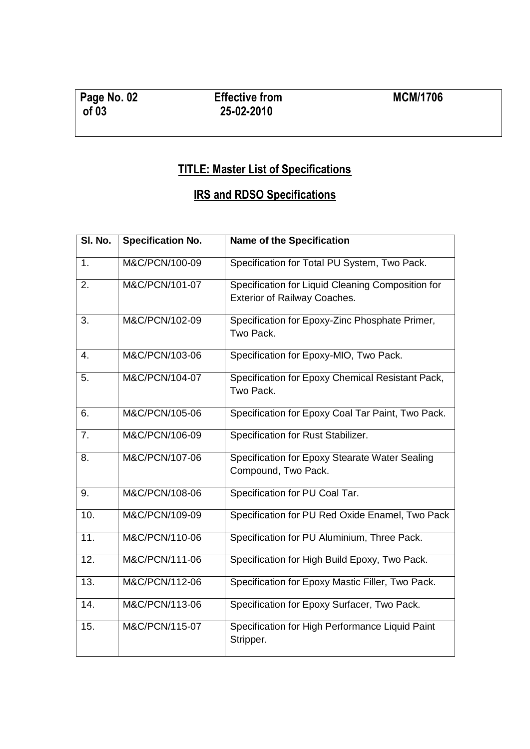# **TITLE: Master List of Specifications**

# **IRS and RDSO Specifications**

| SI. No.        | <b>Specification No.</b> | <b>Name of the Specification</b>                                                         |
|----------------|--------------------------|------------------------------------------------------------------------------------------|
| 1.             | M&C/PCN/100-09           | Specification for Total PU System, Two Pack.                                             |
| 2.             | M&C/PCN/101-07           | Specification for Liquid Cleaning Composition for<br><b>Exterior of Railway Coaches.</b> |
| 3.             | M&C/PCN/102-09           | Specification for Epoxy-Zinc Phosphate Primer,<br>Two Pack.                              |
| 4.             | M&C/PCN/103-06           | Specification for Epoxy-MIO, Two Pack.                                                   |
| 5.             | M&C/PCN/104-07           | Specification for Epoxy Chemical Resistant Pack,<br>Two Pack.                            |
| 6.             | M&C/PCN/105-06           | Specification for Epoxy Coal Tar Paint, Two Pack.                                        |
| 7 <sub>1</sub> | M&C/PCN/106-09           | Specification for Rust Stabilizer.                                                       |
| 8.             | M&C/PCN/107-06           | Specification for Epoxy Stearate Water Sealing<br>Compound, Two Pack.                    |
| 9.             | M&C/PCN/108-06           | Specification for PU Coal Tar.                                                           |
| 10.            | M&C/PCN/109-09           | Specification for PU Red Oxide Enamel, Two Pack                                          |
| 11.            | M&C/PCN/110-06           | Specification for PU Aluminium, Three Pack.                                              |
| 12.            | M&C/PCN/111-06           | Specification for High Build Epoxy, Two Pack.                                            |
| 13.            | M&C/PCN/112-06           | Specification for Epoxy Mastic Filler, Two Pack.                                         |
| 14.            | M&C/PCN/113-06           | Specification for Epoxy Surfacer, Two Pack.                                              |
| 15.            | M&C/PCN/115-07           | Specification for High Performance Liquid Paint<br>Stripper.                             |